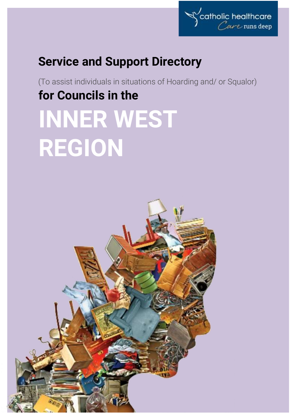

# **Service and Support Directory**

(To assist individuals in situations of Hoarding and/ or Squalor) **for Councils in the INNER WEST REGION**

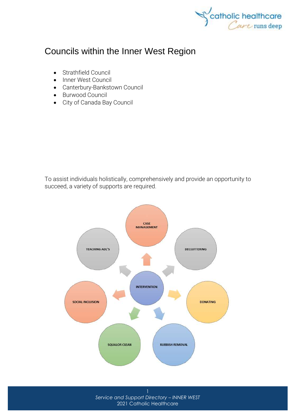

# Councils within the Inner West Region

- [Strathfield Council](http://www.strathfield.nsw.gov.au/)
- [Inner West Council](http://www.innerwest.nsw.gov.au/)
- [Canterbury-Bankstown Council](https://www.cbcity.nsw.gov.au/)
- [Burwood Council](http://www.burwood.nsw.gov.au/)
- [City of Canada Bay Council](http://www.canadabay.nsw.gov.au/)

To assist individuals holistically, comprehensively and provide an opportunity to succeed, a variety of supports are required.

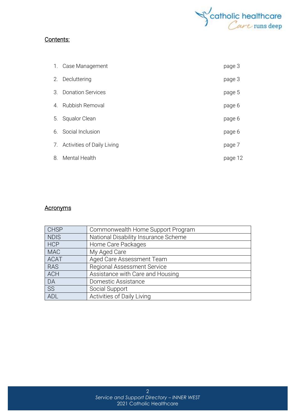

### Contents:

|    | 1. Case Management            | page 3  |
|----|-------------------------------|---------|
|    | 2. Decluttering               | page 3  |
| 3. | <b>Donation Services</b>      | page 5  |
| 4. | <b>Rubbish Removal</b>        | page 6  |
| 5. | Squalor Clean                 | page 6  |
|    | 6. Social Inclusion           | page 6  |
|    | 7. Activities of Daily Living | page 7  |
| 8. | Mental Health                 | page 12 |

### **Acronyms**

| <b>CHSP</b> | Commonwealth Home Support Program    |
|-------------|--------------------------------------|
| <b>NDIS</b> | National Disability Insurance Scheme |
| <b>HCP</b>  | Home Care Packages                   |
| <b>MAC</b>  | My Aged Care                         |
| <b>ACAT</b> | Aged Care Assessment Team            |
| <b>RAS</b>  | <b>Regional Assessment Service</b>   |
| <b>ACH</b>  | Assistance with Care and Housing     |
| DA          | Domestic Assistance                  |
| SS          | Social Support                       |
| ADL         | Activities of Daily Living           |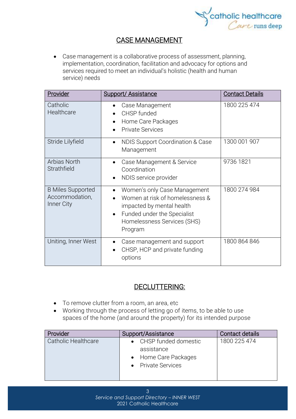

# CASE MANAGEMENT

• Case management is a collaborative process of assessment, planning, implementation, coordination, facilitation and advocacy for options and services required to meet an individual's holistic (health and human service) needs

| Provider                                                 | <b>Support/ Assistance</b>                                                                                                                                            | <b>Contact Details</b> |
|----------------------------------------------------------|-----------------------------------------------------------------------------------------------------------------------------------------------------------------------|------------------------|
| Catholic<br>Healthcare                                   | Case Management<br>$\bullet$<br>CHSP funded<br>Home Care Packages<br><b>Private Services</b>                                                                          | 1800 225 474           |
| Stride Lilyfield                                         | NDIS Support Coordination & Case<br>$\bullet$<br>Management                                                                                                           | 1300 001 907           |
| Arbias North<br>Strathfield                              | Case Management & Service<br>Coordination<br>NDIS service provider                                                                                                    | 9736 1821              |
| <b>B Miles Supported</b><br>Accommodation,<br>Inner City | Women's only Case Management<br>Women at risk of homelessness &<br>impacted by mental health<br>Funded under the Specialist<br>Homelessness Services (SHS)<br>Program | 1800 274 984           |
| Uniting, Inner West                                      | Case management and support<br>CHSP, HCP and private funding<br>options                                                                                               | 1800 864 846           |

# DECLUTTERING:

- To remove clutter from a room, an area, etc
- Working through the process of letting go of items, to be able to use spaces of the home (and around the property) for its intended purpose

| Provider            | Support/Assistance                                                                 | Contact details |
|---------------------|------------------------------------------------------------------------------------|-----------------|
| Catholic Healthcare | • CHSP funded domestic<br>assistance<br>• Home Care Packages<br>• Private Services | 1800 225 474    |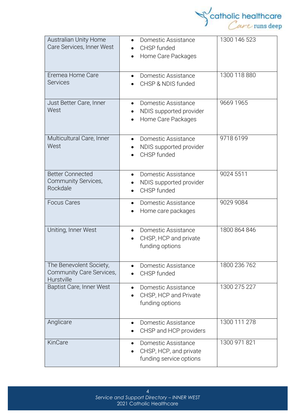

| <b>Australian Unity Home</b><br>Care Services, Inner West         | Domestic Assistance<br>CHSP funded<br>Home Care Packages                              | 1300 146 523 |
|-------------------------------------------------------------------|---------------------------------------------------------------------------------------|--------------|
| Eremea Home Care<br><b>Services</b>                               | Domestic Assistance<br>$\bullet$<br>CHSP & NDIS funded                                | 1300 118 880 |
| Just Better Care, Inner<br>West                                   | Domestic Assistance<br>NDIS supported provider<br>Home Care Packages                  | 9669 1965    |
| Multicultural Care, Inner<br>West                                 | Domestic Assistance<br>$\bullet$<br>NDIS supported provider<br>CHSP funded            | 9718 6199    |
| <b>Better Connected</b><br>Community Services,<br>Rockdale        | Domestic Assistance<br>$\bullet$<br>NDIS supported provider<br>CHSP funded            | 9024 5511    |
| <b>Focus Cares</b>                                                | Domestic Assistance<br>$\bullet$<br>Home care packages                                | 9029 9084    |
| Uniting, Inner West                                               | Domestic Assistance<br>$\bullet$<br>CHSP, HCP and private<br>funding options          | 1800 864 846 |
| The Benevolent Society,<br>Community Care Services,<br>Hurstville | Domestic Assistance<br>CHSP funded                                                    | 1800 236 762 |
| <b>Baptist Care, Inner West</b>                                   | Domestic Assistance<br>$\bullet$<br>CHSP, HCP and Private<br>funding options          | 1300 275 227 |
| Anglicare                                                         | Domestic Assistance<br>CHSP and HCP providers                                         | 1300 111 278 |
| KinCare                                                           | Domestic Assistance<br>$\bullet$<br>CHSP, HCP, and private<br>funding service options | 1300 971 821 |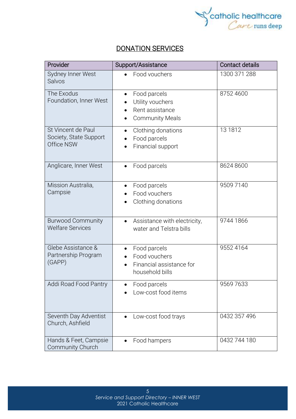

# DONATION SERVICES

| Provider                                                   | Support/Assistance                                                            | <b>Contact details</b> |
|------------------------------------------------------------|-------------------------------------------------------------------------------|------------------------|
| Sydney Inner West<br>Salvos                                | Food vouchers                                                                 | 1300 371 288           |
| The Exodus<br>Foundation, Inner West                       | Food parcels<br>Utility vouchers<br>Rent assistance<br><b>Community Meals</b> | 8752 4600              |
| St Vincent de Paul<br>Society, State Support<br>Office NSW | Clothing donations<br>$\bullet$<br>Food parcels<br>Financial support          | 13 1812                |
| Anglicare, Inner West                                      | Food parcels                                                                  | 8624 8600              |
| Mission Australia,<br>Campsie                              | Food parcels<br>Food vouchers<br>Clothing donations                           | 9509 7140              |
| <b>Burwood Community</b><br><b>Welfare Services</b>        | Assistance with electricity,<br>water and Telstra bills                       | 9744 1866              |
| Glebe Assistance &<br>Partnership Program<br>(GAPP)        | Food parcels<br>Food vouchers<br>Financial assistance for<br>household bills  | 9552 4164              |
| Addi Road Food Pantry                                      | Food parcels<br>Low-cost food items                                           | 95697633               |
| Seventh Day Adventist<br>Church, Ashfield                  | Low-cost food trays                                                           | 0432 357 496           |
| Hands & Feet, Campsie<br>Community Church                  | Food hampers                                                                  | 0432 744 180           |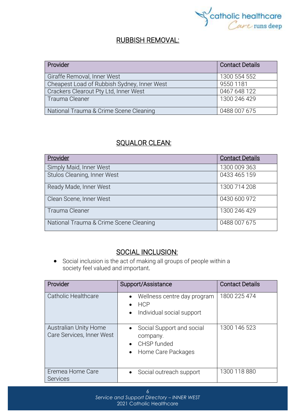

## RUBBISH REMOVAL:

| Provider                                    | <b>Contact Details</b> |
|---------------------------------------------|------------------------|
|                                             |                        |
| Giraffe Removal, Inner West                 | 1300 554 552           |
| Cheapest Load of Rubbish Sydney, Inner West | 9550 1181              |
| Crackers Clearout Pty Ltd, Inner West       | 0467 648 122           |
| Trauma Cleaner                              | 1300 246 429           |
| National Trauma & Crime Scene Cleaning      | 0488 007 675           |

# SQUALOR CLEAN:

| Provider                               | <b>Contact Details</b> |
|----------------------------------------|------------------------|
| Simply Maid, Inner West                | 1300 009 363           |
| Stulos Cleaning, Inner West            | 0433 465 159           |
| Ready Made, Inner West                 | 1300 714 208           |
| Clean Scene, Inner West                | 0430 600 972           |
| Trauma Cleaner                         | 1300 246 429           |
| National Trauma & Crime Scene Cleaning | 0488 007 675           |

## SOCIAL INCLUSION:

• Social [inclusion](https://www.collinsdictionary.com/dictionary/english/inclusion) is the act of making all groups of people within a society [feel](https://www.collinsdictionary.com/dictionary/english/feel) valued and [important](https://www.collinsdictionary.com/dictionary/english/important).

| Provider                                           | Support/Assistance                                                                                                | <b>Contact Details</b> |
|----------------------------------------------------|-------------------------------------------------------------------------------------------------------------------|------------------------|
| Catholic Healthcare                                | Wellness centre day program<br>$\bullet$<br><b>HCP</b><br>$\bullet$<br>Individual social support<br>$\bullet$     | 1800 225 474           |
| Australian Unity Home<br>Care Services, Inner West | Social Support and social<br>$\bullet$<br>company.<br>CHSP funded<br>$\bullet$<br>Home Care Packages<br>$\bullet$ | 1300 146 523           |
| Eremea Home Care<br><b>Services</b>                | Social outreach support<br>$\bullet$                                                                              | 1300 118 880           |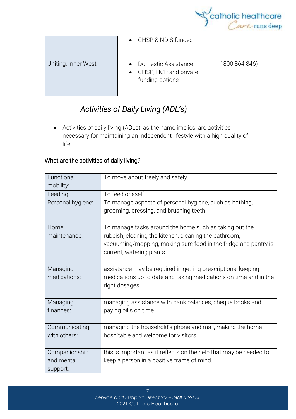

|                     | • CHSP & NDIS funded                                                     |               |
|---------------------|--------------------------------------------------------------------------|---------------|
| Uniting, Inner West | <b>Domestic Assistance</b><br>• CHSP, HCP and private<br>funding options | 1800 864 846) |

# *Activities of Daily Living (ADL's)*

• Activities of daily living (ADLs), as the name implies, are activities necessary for maintaining an independent lifestyle with a high quality of life.

### What are the activities of daily living*?*

| Functional<br>mobility:                 | To move about freely and safely.                                                                                                                                                                                |
|-----------------------------------------|-----------------------------------------------------------------------------------------------------------------------------------------------------------------------------------------------------------------|
| Feeding                                 | To feed oneself                                                                                                                                                                                                 |
| Personal hygiene:                       | To manage aspects of personal hygiene, such as bathing,<br>grooming, dressing, and brushing teeth.                                                                                                              |
| Home<br>maintenance:                    | To manage tasks around the home such as taking out the<br>rubbish, cleaning the kitchen, cleaning the bathroom,<br>vacuuming/mopping, making sure food in the fridge and pantry is<br>current, watering plants. |
| Managing<br>medications:                | assistance may be required in getting prescriptions, keeping<br>medications up to date and taking medications on time and in the<br>right dosages.                                                              |
| Managing<br>finances:                   | managing assistance with bank balances, cheque books and<br>paying bills on time                                                                                                                                |
| Communicating<br>with others:           | managing the household's phone and mail, making the home<br>hospitable and welcome for visitors.                                                                                                                |
| Companionship<br>and mental<br>support: | this is important as it reflects on the help that may be needed to<br>keep a person in a positive frame of mind.                                                                                                |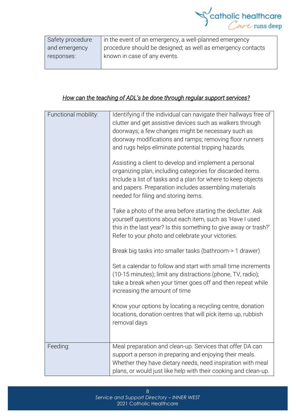

| Safety procedure | in the event of an emergency, a well-planned emergency      |
|------------------|-------------------------------------------------------------|
| and emergency    | procedure should be designed; as well as emergency contacts |
| responses:       | known in case of any events.                                |
|                  |                                                             |

## *How can the teaching of ADL's be done through regular support services?*

| Functional mobility: | Identifying if the individual can navigate their hallways free of<br>clutter and get assistive devices such as walkers through<br>doorways; a few changes might be necessary such as<br>doorway modifications and ramps; removing floor runners<br>and rugs helps eliminate potential tripping hazards.<br>Assisting a client to develop and implement a personal<br>organizing plan, including categories for discarded items.<br>Include a list of tasks and a plan for where to keep objects<br>and papers. Preparation includes assembling materials<br>needed for filing and storing items.<br>Take a photo of the area before starting the declutter. Ask<br>yourself questions about each item, such as 'Have I used<br>this in the last year? Is this something to give away or trash?'<br>Refer to your photo and celebrate your victories. |
|----------------------|------------------------------------------------------------------------------------------------------------------------------------------------------------------------------------------------------------------------------------------------------------------------------------------------------------------------------------------------------------------------------------------------------------------------------------------------------------------------------------------------------------------------------------------------------------------------------------------------------------------------------------------------------------------------------------------------------------------------------------------------------------------------------------------------------------------------------------------------------|
|                      | Break big tasks into smaller tasks (bathroom-> 1 drawer)<br>Set a calendar to follow and start with small time increments<br>(10-15 minutes); limit any distractions (phone, TV, radio);<br>take a break when your timer goes off and then repeat while<br>increasing the amount of time<br>Know your options by locating a recycling centre, donation<br>locations, donation centres that will pick items up, rubbish<br>removal days                                                                                                                                                                                                                                                                                                                                                                                                               |
| Feeding:             | Meal preparation and clean-up. Services that offer DA can<br>support a person in preparing and enjoying their meals.<br>Whether they have dietary needs, need inspiration with meal<br>plans, or would just like help with their cooking and clean-up.                                                                                                                                                                                                                                                                                                                                                                                                                                                                                                                                                                                               |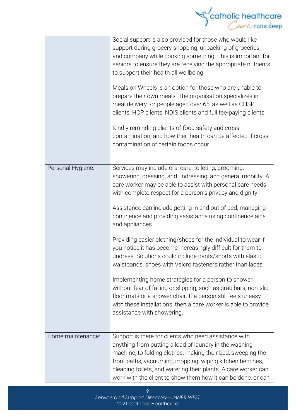|                   | catholic healthcare                                                                                                                                                                                                                                                                                                                                                                                                                                                                                                                                                                                                                                                                                                                                                                                                                                                                                                                                   |
|-------------------|-------------------------------------------------------------------------------------------------------------------------------------------------------------------------------------------------------------------------------------------------------------------------------------------------------------------------------------------------------------------------------------------------------------------------------------------------------------------------------------------------------------------------------------------------------------------------------------------------------------------------------------------------------------------------------------------------------------------------------------------------------------------------------------------------------------------------------------------------------------------------------------------------------------------------------------------------------|
|                   | Social support is also provided for those who would like<br>support during grocery shopping, unpacking of groceries,<br>and company while cooking something. This is important for<br>seniors to ensure they are receiving the appropriate nutrients<br>to support their health all wellbeing.<br>Meals on Wheels is an option for those who are unable to<br>prepare their own meals. The organisation specializes in<br>meal delivery for people aged over 65, as well as CHSP<br>clients, HCP clients, NDIS clients and full fee-paying clients.<br>Kindly reminding clients of food safety and cross<br>contamination; and how their health can be affected if cross<br>contamination of certain foods occur.                                                                                                                                                                                                                                     |
| Personal Hygiene: | Services may include oral care, toileting, grooming,<br>showering, dressing, and undressing, and general mobility. A<br>care worker may be able to assist with personal care needs<br>with complete respect for a person's privacy and dignity.<br>Assistance can include getting in and out of bed, managing<br>continence and providing assistance using continence aids<br>and appliances.<br>Providing easier clothing/shoes for the individual to wear if<br>you notice it has become increasingly difficult for them to<br>undress. Solutions could include pants/shorts with elastic<br>waistbands, shoes with Velcro fasteners rather than laces.<br>Implementing home strategies for a person to shower<br>without fear of falling or slipping, such as grab bars, non-slip<br>floor mats or a shower chair. If a person still feels uneasy<br>with these installations, then a care worker is able to provide<br>assistance with showering. |
| Home maintenance: | Support is there for clients who need assistance with<br>anything from putting a load of laundry in the washing<br>machine, to folding clothes, making their bed, sweeping the<br>front paths, vacuuming, mopping, wiping kitchen benches,<br>cleaning toilets, and watering their plants. A care worker can<br>work with the client to show them how it can be done, or can                                                                                                                                                                                                                                                                                                                                                                                                                                                                                                                                                                          |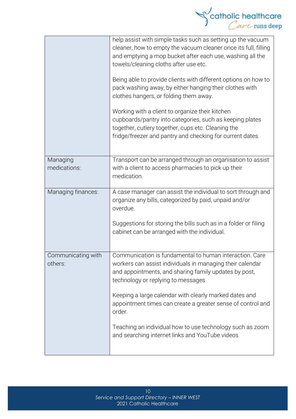|                               | catholic healthcare                                                                                                                                                                                                                                                                                                                                                                                                                                                                                                        |
|-------------------------------|----------------------------------------------------------------------------------------------------------------------------------------------------------------------------------------------------------------------------------------------------------------------------------------------------------------------------------------------------------------------------------------------------------------------------------------------------------------------------------------------------------------------------|
|                               | help assist with simple tasks such as setting up the vacuum<br>cleaner, how to empty the vacuum cleaner once its full, filling<br>and emptying a mop bucket after each use, washing all the<br>towels/cleaning cloths after use etc.<br>Being able to provide clients with different options on how to<br>pack washing away, by either hanging their clothes with<br>clothes hangers, or folding them away.<br>Working with a client to organize their kitchen<br>cupboards/pantry into categories, such as keeping plates |
|                               | together, cutlery together, cups etc. Cleaning the<br>fridge/freezer and pantry and checking for current dates.                                                                                                                                                                                                                                                                                                                                                                                                            |
| Managing<br>medications:      | Transport can be arranged through an organisation to assist<br>with a client to access pharmacies to pick up their<br>medication.                                                                                                                                                                                                                                                                                                                                                                                          |
| Managing finances:            | A case manager can assist the individual to sort through and<br>organize any bills, categorized by paid, unpaid and/or<br>overdue.<br>Suggestions for storing the bills such as in a folder or filing<br>cabinet can be arranged with the individual.                                                                                                                                                                                                                                                                      |
| Communicating with<br>others: | Communication is fundamental to human interaction. Care<br>workers can assist individuals in managing their calendar<br>and appointments, and sharing family updates by post,<br>technology or replying to messages                                                                                                                                                                                                                                                                                                        |
|                               | Keeping a large calendar with clearly marked dates and<br>appointment times can create a greater sense of control and<br>order.                                                                                                                                                                                                                                                                                                                                                                                            |
|                               | Teaching an individual how to use technology such as zoom<br>and searching internet links and YouTube videos                                                                                                                                                                                                                                                                                                                                                                                                               |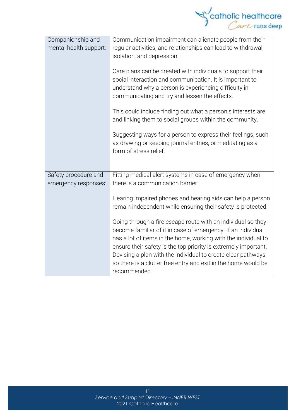

| Companionship and<br>mental health support: | Communication impairment can alienate people from their<br>regular activities, and relationships can lead to withdrawal,<br>isolation, and depression.<br>Care plans can be created with individuals to support their<br>social interaction and communication. It is important to<br>understand why a person is experiencing difficulty in<br>communicating and try and lessen the effects.<br>This could include finding out what a person's interests are<br>and linking them to social groups within the community. |  |
|---------------------------------------------|------------------------------------------------------------------------------------------------------------------------------------------------------------------------------------------------------------------------------------------------------------------------------------------------------------------------------------------------------------------------------------------------------------------------------------------------------------------------------------------------------------------------|--|
|                                             | Suggesting ways for a person to express their feelings, such<br>as drawing or keeping journal entries, or meditating as a<br>form of stress relief.                                                                                                                                                                                                                                                                                                                                                                    |  |
| Safety procedure and                        | Fitting medical alert systems in case of emergency when                                                                                                                                                                                                                                                                                                                                                                                                                                                                |  |
| emergency responses:                        | there is a communication barrier                                                                                                                                                                                                                                                                                                                                                                                                                                                                                       |  |
|                                             | Hearing impaired phones and hearing aids can help a person<br>remain independent while ensuring their safety is protected.                                                                                                                                                                                                                                                                                                                                                                                             |  |
|                                             | Going through a fire escape route with an individual so they<br>become familiar of it in case of emergency. If an individual<br>has a lot of items in the home, working with the individual to<br>ensure their safety is the top priority is extremely important.<br>Devising a plan with the individual to create clear pathways<br>so there is a clutter free entry and exit in the home would be<br>recommended.                                                                                                    |  |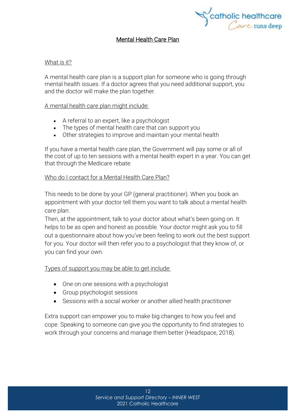

### Mental Health Care Plan

#### What is it?

A mental health care plan is a support plan for someone who is going through mental health issues. If a doctor agrees that you need additional support, you and the doctor will make the plan together.

### A mental health care plan might include:

- A referral to an expert, like a psychologist
- The types of mental health care that can support you
- Other strategies to improve and maintain your mental health

If you have a mental health care plan, the Government will pay some or all of the cost of up to ten sessions with a mental health expert in a year. You can get that through the [Medicare](https://headspace.org.au/blog/how-to-get-a-medicare-card-old/) rebate.

### Who do I contact for a Mental Health Care Plan?

This needs to be done by your GP (general practitioner). When you book an appointment with your doctor tell them you want to talk about a mental health care plan.

Then, at the appointment, talk to your doctor about what's been going on. It helps to be as open and honest as possible. Your doctor might ask you to fill out a questionnaire about how you've been feeling to work out the best support for you. Your doctor will then refer you to a psychologist that they know of, or you can find your own.

### Types of support you may be able to get include:

- One on one sessions with a psychologist
- Group psychologist sessions
- Sessions with a social worker or another allied health practitioner

Extra support can empower you to make big changes to how you feel and cope. Speaking to someone can give you the opportunity to find strategies to work through your concerns and manage them better (Headspace, 2018).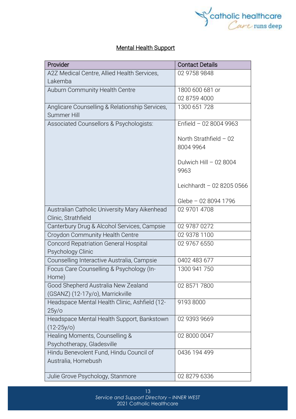

## Mental Health Support

| Provider                                       | <b>Contact Details</b>    |
|------------------------------------------------|---------------------------|
| A2Z Medical Centre, Allied Health Services,    | 02 9758 9848              |
| Lakemba                                        |                           |
| Auburn Community Health Centre                 | 1800 600 681 or           |
|                                                | 02 8759 4000              |
| Anglicare Counselling & Relationship Services, | 1300 651 728              |
| Summer Hill                                    |                           |
| Associated Counsellors & Psychologists:        | Enfield - 02 8004 9963    |
|                                                |                           |
|                                                | North Strathfield $-02$   |
|                                                | 8004 9964                 |
|                                                | Dulwich Hill - 02 8004    |
|                                                | 9963                      |
|                                                |                           |
|                                                | Leichhardt - 02 8205 0566 |
|                                                |                           |
|                                                | Glebe - 02 8094 1796      |
| Australian Catholic University Mary Aikenhead  | 02 9701 4708              |
| Clinic, Strathfield                            |                           |
| Canterbury Drug & Alcohol Services, Campsie    | 02 9787 0272              |
| Croydon Community Health Centre                | 02 9378 1100              |
| <b>Concord Repatriation General Hospital</b>   | 02 9767 6550              |
| Psychology Clinic                              |                           |
| Counselling Interactive Australia, Campsie     | 0402 483 677              |
| Focus Care Counselling & Psychology (In-       | 1300 941 750              |
| Home)                                          |                           |
| Good Shepherd Australia New Zealand            | 02 8571 7800              |
| (GSANZ) (12-17y/o), Marrickville               |                           |
| Headspace Mental Health Clinic, Ashfield (12-  | 9193 8000                 |
| $25y$ /o                                       |                           |
| Headspace Mental Health Support, Bankstown     | 02 9393 9669              |
| $(12-25y/c)$<br>Healing Moments, Counselling & | 02 8000 0047              |
| Psychotherapy, Gladesville                     |                           |
| Hindu Benevolent Fund, Hindu Council of        | 0436 194 499              |
| Australia, Homebush                            |                           |
|                                                |                           |
| Julie Grove Psychology, Stanmore               | 02 8279 6336              |